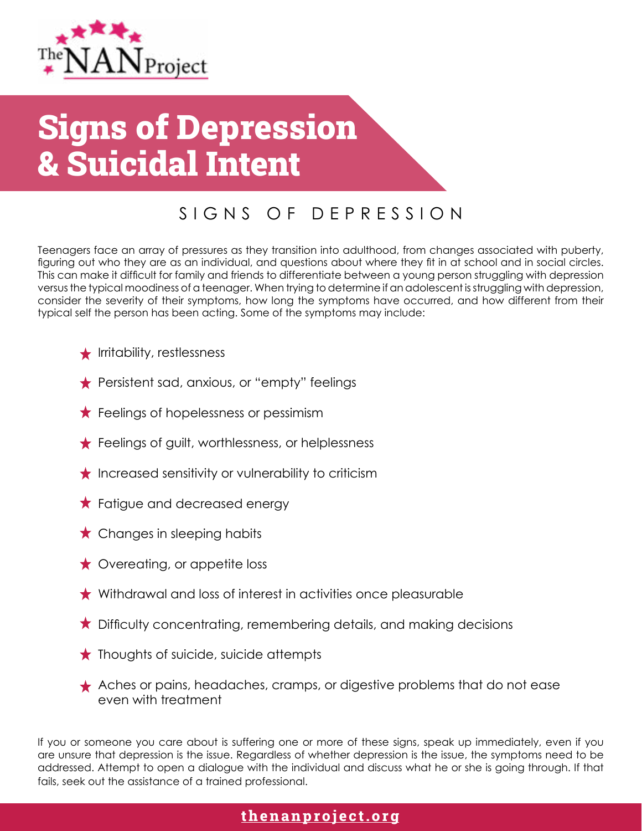

# Signs of Depression & Suicidal Intent

## SIGNS OF DEPRESSION

Teenagers face an array of pressures as they transition into adulthood, from changes associated with puberty, figuring out who they are as an individual, and questions about where they fit in at school and in social circles. This can make it difficult for family and friends to differentiate between a young person struggling with depression versus the typical moodiness of a teenager. When trying to determine if an adolescent is struggling with depression, consider the severity of their symptoms, how long the symptoms have occurred, and how different from their typical self the person has been acting. Some of the symptoms may include:

- $\bigstar$  Irritability, restlessness
- Persistent sad, anxious, or "empty" feelings
- $\star$  Feelings of hopelessness or pessimism
- $\bigstar$  Feelings of guilt, worthlessness, or helplessness
- $\star$  Increased sensitivity or vulnerability to criticism
- $\star$  Fatigue and decreased energy
- $\star$  Changes in sleeping habits
- $\star$  Overeating, or appetite loss
- $\star$  Withdrawal and loss of interest in activities once pleasurable
- $\star$  Difficulty concentrating, remembering details, and making decisions
- $\star$  Thoughts of suicide, suicide attempts
- Aches or pains, headaches, cramps, or digestive problems that do not ease even with treatment

If you or someone you care about is suffering one or more of these signs, speak up immediately, even if you are unsure that depression is the issue. Regardless of whether depression is the issue, the symptoms need to be addressed. Attempt to open a dialogue with the individual and discuss what he or she is going through. If that fails, seek out the assistance of a trained professional.

#### **[thenanproject.org](http://thenanproject.org)**